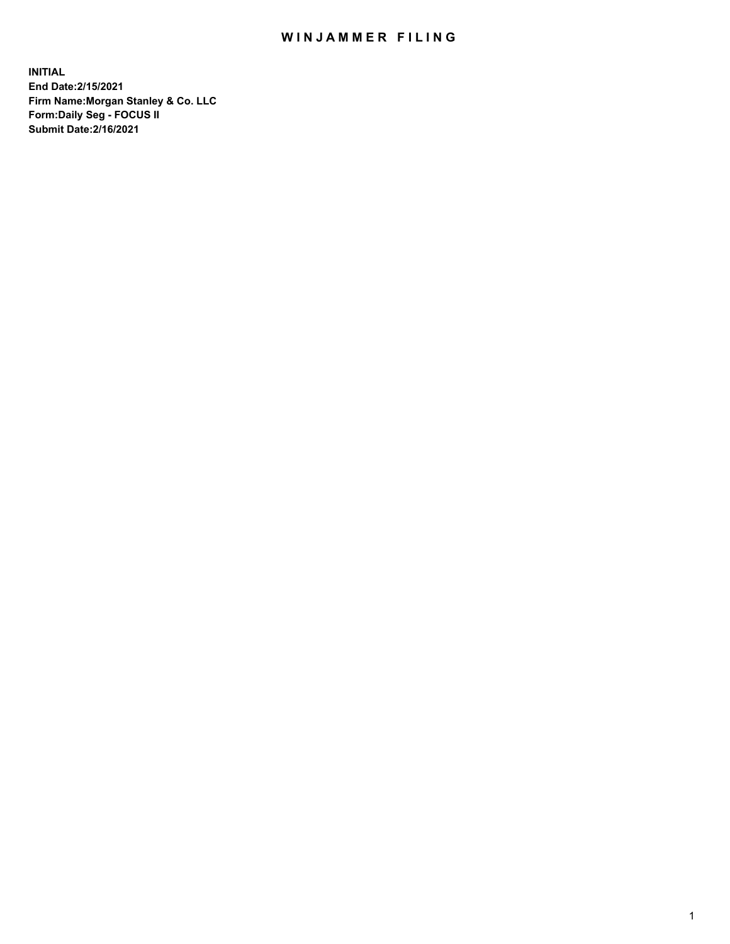## WIN JAMMER FILING

**INITIAL End Date:2/15/2021 Firm Name:Morgan Stanley & Co. LLC Form:Daily Seg - FOCUS II Submit Date:2/16/2021**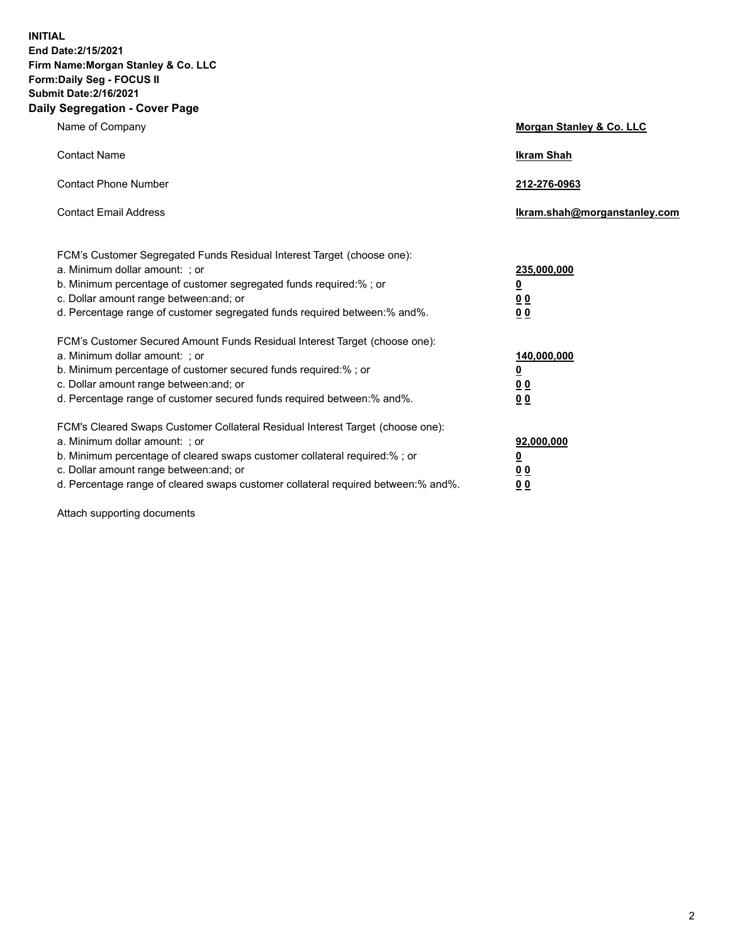**INITIAL End Date:2/15/2021 Firm Name:Morgan Stanley & Co. LLC Form:Daily Seg - FOCUS II Submit Date:2/16/2021 Daily Segregation - Cover Page**

| Name of Company                                                                                                                                                                                                                                                                                                                | <b>Morgan Stanley &amp; Co. LLC</b>                         |
|--------------------------------------------------------------------------------------------------------------------------------------------------------------------------------------------------------------------------------------------------------------------------------------------------------------------------------|-------------------------------------------------------------|
| <b>Contact Name</b>                                                                                                                                                                                                                                                                                                            | <b>Ikram Shah</b>                                           |
| <b>Contact Phone Number</b>                                                                                                                                                                                                                                                                                                    | 212-276-0963                                                |
| <b>Contact Email Address</b>                                                                                                                                                                                                                                                                                                   | Ikram.shah@morganstanley.com                                |
| FCM's Customer Segregated Funds Residual Interest Target (choose one):<br>a. Minimum dollar amount: ; or<br>b. Minimum percentage of customer segregated funds required:%; or<br>c. Dollar amount range between: and; or<br>d. Percentage range of customer segregated funds required between:% and%.                          | 235,000,000<br><u>0</u><br>0 <sub>0</sub><br>0 <sub>0</sub> |
| FCM's Customer Secured Amount Funds Residual Interest Target (choose one):<br>a. Minimum dollar amount: ; or<br>b. Minimum percentage of customer secured funds required:%; or<br>c. Dollar amount range between: and; or<br>d. Percentage range of customer secured funds required between:% and%.                            | 140,000,000<br><u>0</u><br>0 <sub>0</sub><br>0 <sub>0</sub> |
| FCM's Cleared Swaps Customer Collateral Residual Interest Target (choose one):<br>a. Minimum dollar amount: ; or<br>b. Minimum percentage of cleared swaps customer collateral required:% ; or<br>c. Dollar amount range between: and; or<br>d. Percentage range of cleared swaps customer collateral required between:% and%. | 92,000,000<br><u>0</u><br><u>00</u><br>00                   |

Attach supporting documents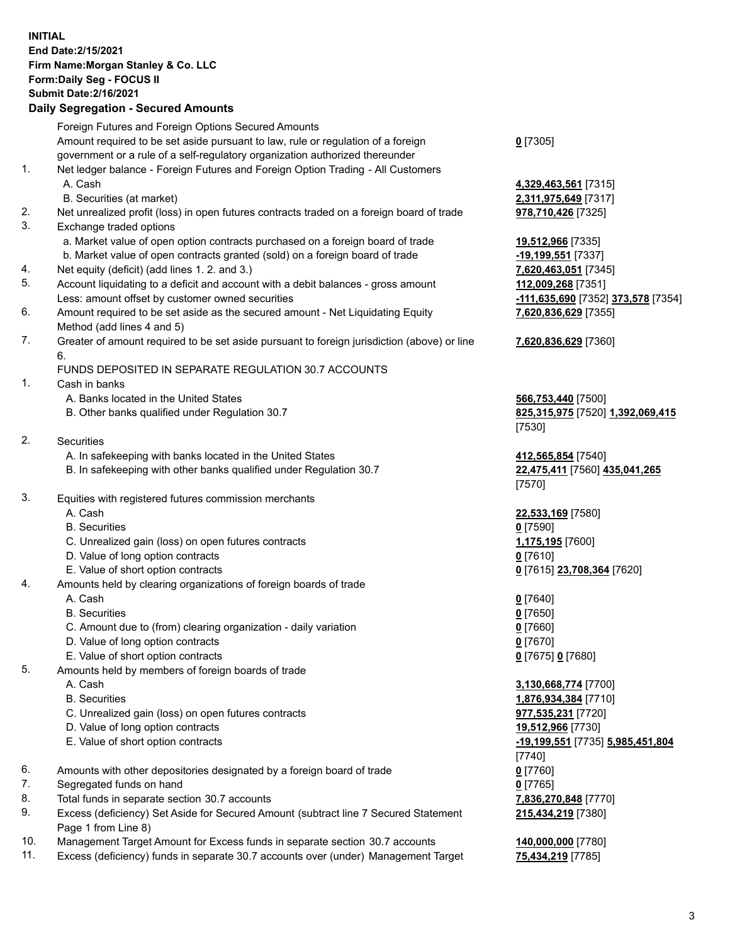## **INITIAL End Date:2/15/2021 Firm Name:Morgan Stanley & Co. LLC Form:Daily Seg - FOCUS II Submit Date:2/16/2021**

## **Daily Segregation - Secured Amounts**

Foreign Futures and Foreign Options Secured Amounts Amount required to be set aside pursuant to law, rule or regulation of a foreign government or a rule of a self-regulatory organization authorized thereunder 1. Net ledger balance - Foreign Futures and Foreign Option Trading - All Customers A. Cash **4,329,463,561** [7315] B. Securities (at market) **2,311,975,649** [7317] 2. Net unrealized profit (loss) in open futures contracts traded on a foreign board of trade **978,710,426** [7325] 3. Exchange traded options a. Market value of open option contracts purchased on a foreign board of trade **19,512,966** [7335] b. Market value of open contracts granted (sold) on a foreign board of trade **-19,199,551** [7337] 4. Net equity (deficit) (add lines 1. 2. and 3.) **7,620,463,051** [7345] 5. Account liquidating to a deficit and account with a debit balances - gross amount **112,009,268** [7351] Less: amount offset by customer owned securities **-111,635,690** [7352] **373,578** [7354] 6. Amount required to be set aside as the secured amount - Net Liquidating Equity Method (add lines 4 and 5) 7. Greater of amount required to be set aside pursuant to foreign jurisdiction (above) or line 6. FUNDS DEPOSITED IN SEPARATE REGULATION 30.7 ACCOUNTS 1. Cash in banks A. Banks located in the United States **566,753,440** [7500] B. Other banks qualified under Regulation 30.7 **825,315,975** [7520] **1,392,069,415** 2. Securities A. In safekeeping with banks located in the United States **412,565,854** [7540] B. In safekeeping with other banks qualified under Regulation 30.7 **22,475,411** [7560] **435,041,265** 3. Equities with registered futures commission merchants A. Cash **22,533,169** [7580] B. Securities **0** [7590] C. Unrealized gain (loss) on open futures contracts **1,175,195** [7600] D. Value of long option contracts **0** [7610] E. Value of short option contracts **0** [7615] **23,708,364** [7620] 4. Amounts held by clearing organizations of foreign boards of trade A. Cash **0** [7640] B. Securities **0** [7650] C. Amount due to (from) clearing organization - daily variation **0** [7660] D. Value of long option contracts **0** [7670] E. Value of short option contracts **0** [7675] **0** [7680] 5. Amounts held by members of foreign boards of trade A. Cash **3,130,668,774** [7700] B. Securities **1,876,934,384** [7710] C. Unrealized gain (loss) on open futures contracts **977,535,231** [7720] D. Value of long option contracts **19,512,966** [7730] E. Value of short option contracts **-19,199,551** [7735] **5,985,451,804** 6. Amounts with other depositories designated by a foreign board of trade **0** [7760] 7. Segregated funds on hand **0** [7765] 8. Total funds in separate section 30.7 accounts **7,836,270,848** [7770] 9. Excess (deficiency) Set Aside for Secured Amount (subtract line 7 Secured Statement

Page 1 from Line 8) 10. Management Target Amount for Excess funds in separate section 30.7 accounts **140,000,000** [7780]

11. Excess (deficiency) funds in separate 30.7 accounts over (under) Management Target **75,434,219** [7785]

**0** [7305]

**7,620,836,629** [7355]

## **7,620,836,629** [7360]

[7530]

[7570]

[7740] **215,434,219** [7380]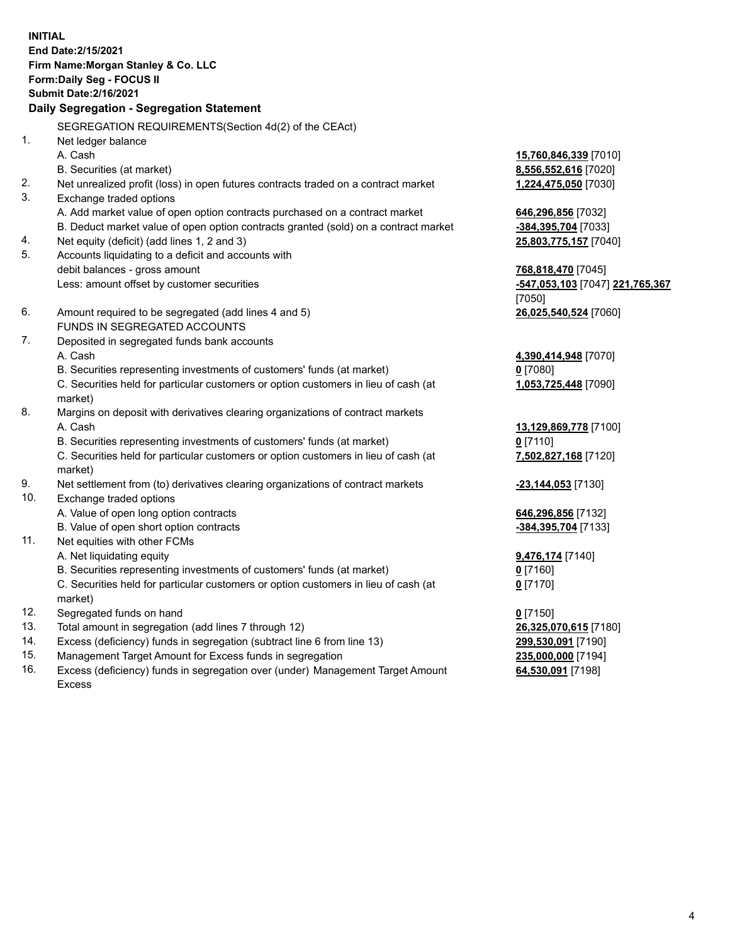**INITIAL End Date:2/15/2021 Firm Name:Morgan Stanley & Co. LLC Form:Daily Seg - FOCUS II Submit Date:2/16/2021 Daily Segregation - Segregation Statement** SEGREGATION REQUIREMENTS(Section 4d(2) of the CEAct) 1. Net ledger balance A. Cash **15,760,846,339** [7010] B. Securities (at market) **8,556,552,616** [7020] 2. Net unrealized profit (loss) in open futures contracts traded on a contract market **1,224,475,050** [7030] 3. Exchange traded options A. Add market value of open option contracts purchased on a contract market **646,296,856** [7032] B. Deduct market value of open option contracts granted (sold) on a contract market **-384,395,704** [7033] 4. Net equity (deficit) (add lines 1, 2 and 3) **25,803,775,157** [7040] 5. Accounts liquidating to a deficit and accounts with debit balances - gross amount **768,818,470** [7045] Less: amount offset by customer securities **-547,053,103** [7047] **221,765,367** [7050] 6. Amount required to be segregated (add lines 4 and 5) **26,025,540,524** [7060] FUNDS IN SEGREGATED ACCOUNTS 7. Deposited in segregated funds bank accounts A. Cash **4,390,414,948** [7070] B. Securities representing investments of customers' funds (at market) **0** [7080] C. Securities held for particular customers or option customers in lieu of cash (at market) **1,053,725,448** [7090] 8. Margins on deposit with derivatives clearing organizations of contract markets A. Cash **13,129,869,778** [7100] B. Securities representing investments of customers' funds (at market) **0** [7110] C. Securities held for particular customers or option customers in lieu of cash (at market) **7,502,827,168** [7120] 9. Net settlement from (to) derivatives clearing organizations of contract markets **-23,144,053** [7130] 10. Exchange traded options A. Value of open long option contracts **646,296,856** [7132] B. Value of open short option contracts **-384,395,704** [7133] 11. Net equities with other FCMs A. Net liquidating equity **9,476,174** [7140] B. Securities representing investments of customers' funds (at market) **0** [7160] C. Securities held for particular customers or option customers in lieu of cash (at market) **0** [7170] 12. Segregated funds on hand **0** [7150] 13. Total amount in segregation (add lines 7 through 12) **26,325,070,615** [7180] 14. Excess (deficiency) funds in segregation (subtract line 6 from line 13) **299,530,091** [7190]

- 15. Management Target Amount for Excess funds in segregation **235,000,000** [7194]
- 16. Excess (deficiency) funds in segregation over (under) Management Target Amount Excess

**64,530,091** [7198]